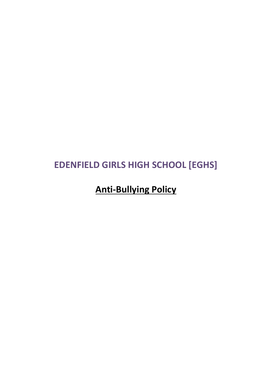## **EDENFIELD GIRLS HIGH SCHOOL [EGHS]**

# **Anti-Bullying Policy**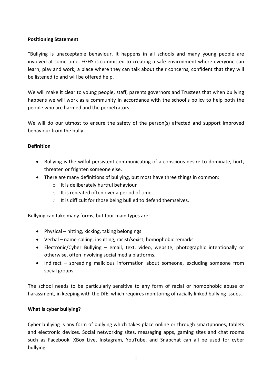## **Positioning Statement**

"Bullying is unacceptable behaviour. It happens in all schools and many young people are involved at some time. EGHS is committed to creating a safe environment where everyone can learn, play and work; a place where they can talk about their concerns, confident that they will be listened to and will be offered help.

We will make it clear to young people, staff, parents governors and Trustees that when bullying happens we will work as a community in accordance with the school's policy to help both the people who are harmed and the perpetrators.

We will do our utmost to ensure the safety of the person(s) affected and support improved behaviour from the bully.

## **Definition**

- Bullying is the wilful persistent communicating of a conscious desire to dominate, hurt, threaten or frighten someone else.
- There are many definitions of bullying, but most have three things in common:
	- o It is deliberately hurtful behaviour
	- $\circ$  It is repeated often over a period of time
	- o It is difficult for those being bullied to defend themselves.

Bullying can take many forms, but four main types are:

- Physical hitting, kicking, taking belongings
- Verbal name-calling, insulting, racist/sexist, homophobic remarks
- Electronic/Cyber Bullying email, text, video, website, photographic intentionally or otherwise, often involving social media platforms.
- Indirect spreading malicious information about someone, excluding someone from social groups.

The school needs to be particularly sensitive to any form of racial or homophobic abuse or harassment, in keeping with the DfE, which requires monitoring of racially linked bullying issues.

## **What is cyber bullying?**

Cyber bullying is any form of bullying which takes place online or through smartphones, tablets and electronic devices. Social networking sites, messaging apps, gaming sites and chat rooms such as Facebook, XBox Live, Instagram, YouTube, and Snapchat can all be used for cyber bullying.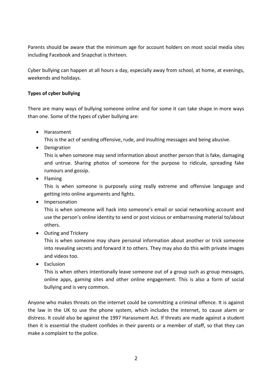Parents should be aware that the minimum age for account holders on most social media sites including Facebook and Snapchat is thirteen.

Cyber bullying can happen at all hours a day, especially away from school, at home, at evenings, weekends and holidays.

## **Types of cyber bullying**

There are many ways of bullying someone online and for some it can take shape in more ways than one. Some of the types of cyber bullying are:

• Harassment

This is the act of sending offensive, rude, and insulting messages and being abusive.

• Denigration

This is when someone may send information about another person that is fake, damaging and untrue. Sharing photos of someone for the purpose to ridicule, spreading fake rumours and gossip.

• Flaming

This is when someone is purposely using really extreme and offensive language and getting into online arguments and fights.

• Impersonation

This is when someone will hack into someone's email or social networking account and use the person's online identity to send or post vicious or embarrassing material to/about others.

• Outing and Trickery

This is when someone may share personal information about another or trick someone into revealing secrets and forward it to others. They may also do this with private images and videos too.

• Exclusion

This is when others intentionally leave someone out of a group such as group messages, online apps, gaming sites and other online engagement. This is also a form of social bullying and is very common.

Anyone who makes threats on the internet could be committing a criminal offence. It is against the law in the UK to use the phone system, which includes the internet, to cause alarm or distress. It could also be against the 1997 Harassment Act. If threats are made against a student then it is essential the student confides in their parents or a member of staff, so that they can make a complaint to the police.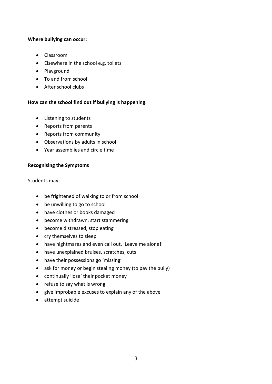#### **Where bullying can occur:**

- Classroom
- Elsewhere in the school e.g. toilets
- Playground
- To and from school
- After school clubs

## **How can the school find out if bullying is happening:**

- Listening to students
- Reports from parents
- Reports from community
- Observations by adults in school
- Year assemblies and circle time

## **Recognising the Symptoms**

Students may:

- be frightened of walking to or from school
- be unwilling to go to school
- have clothes or books damaged
- become withdrawn, start stammering
- become distressed, stop eating
- cry themselves to sleep
- have nightmares and even call out, 'Leave me alone!'
- have unexplained bruises, scratches, cuts
- have their possessions go 'missing'
- ask for money or begin stealing money (to pay the bully)
- continually 'lose' their pocket money
- refuse to say what is wrong
- give improbable excuses to explain any of the above
- attempt suicide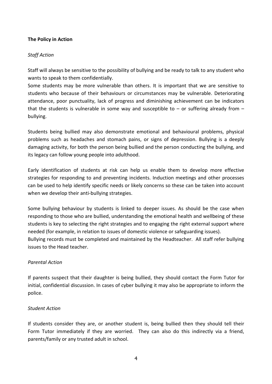## **The Policy in Action**

## *Staff Action*

Staff will always be sensitive to the possibility of bullying and be ready to talk to any student who wants to speak to them confidentially.

Some students may be more vulnerable than others. It is important that we are sensitive to students who because of their behaviours or circumstances may be vulnerable. Deteriorating attendance, poor punctuality, lack of progress and diminishing achievement can be indicators that the students is vulnerable in some way and susceptible to  $-$  or suffering already from  $$ bullying.

Students being bullied may also demonstrate emotional and behavioural problems, physical problems such as headaches and stomach pains, or signs of depression. Bullying is a deeply damaging activity, for both the person being bullied and the person conducting the bullying, and its legacy can follow young people into adulthood.

Early identification of students at risk can help us enable them to develop more effective strategies for responding to and preventing incidents. Induction meetings and other processes can be used to help identify specific needs or likely concerns so these can be taken into account when we develop their anti-bullying strategies.

Some bullying behaviour by students is linked to deeper issues. As should be the case when responding to those who are bullied, understanding the emotional health and wellbeing of these students is key to selecting the right strategies and to engaging the right external support where needed (for example, in relation to issues of domestic violence or safeguarding issues). Bullying records must be completed and maintained by the Headteacher. All staff refer bullying issues to the Head teacher.

## *Parental Action*

If parents suspect that their daughter is being bullied, they should contact the Form Tutor for initial, confidential discussion. In cases of cyber bullying it may also be appropriate to inform the police.

#### *Student Action*

If students consider they are, or another student is, being bullied then they should tell their Form Tutor immediately if they are worried. They can also do this indirectly via a friend, parents/family or any trusted adult in school.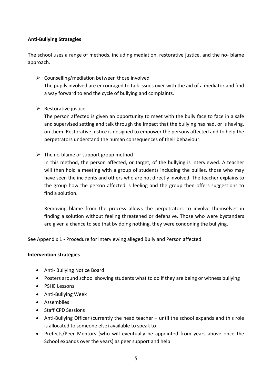## **Anti-Bullying Strategies**

The school uses a range of methods, including mediation, restorative justice, and the no- blame approach.

 $\triangleright$  Counselling/mediation between those involved The pupils involved are encouraged to talk issues over with the aid of a mediator and find a way forward to end the cycle of bullying and complaints.

## $\triangleright$  Restorative justice

The person affected is given an opportunity to meet with the bully face to face in a safe and supervised setting and talk through the impact that the bullying has had, or is having, on them. Restorative justice is designed to empower the persons affected and to help the perpetrators understand the human consequences of their behaviour.

 $\triangleright$  The no-blame or support group method

In this method, the person affected, or target, of the bullying is interviewed. A teacher will then hold a meeting with a group of students including the bullies, those who may have seen the incidents and others who are not directly involved. The teacher explains to the group how the person affected is feeling and the group then offers suggestions to find a solution.

Removing blame from the process allows the perpetrators to involve themselves in finding a solution without feeling threatened or defensive. Those who were bystanders are given a chance to see that by doing nothing, they were condoning the bullying.

See Appendix 1 - Procedure for interviewing alleged Bully and Person affected.

## **Intervention strategies**

- Anti- Bullying Notice Board
- Posters around school showing students what to do if they are being or witness bullying
- PSHE Lessons
- Anti-Bullying Week
- Assemblies
- Staff CPD Sessions
- Anti-Bullying Officer (currently the head teacher until the school expands and this role is allocated to someone else) available to speak to
- Prefects/Peer Mentors (who will eventually be appointed from years above once the School expands over the years) as peer support and help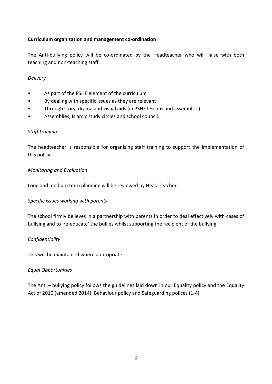## **Curriculum organisation and management co-ordination**

The Anti-bullying policy will be co-ordinated by the Headteacher who will liaise with both teaching and non-teaching staff.

#### *Delivery*

- As part of the PSHE element of the curriculum
- By dealing with specific issues as they are relevant
- Through story, drama and visual aids (in PSHE lessons and assemblies)
- Assemblies, Islamic study circles and school council.

## *Staff training*

The headteacher is responsible for organising staff training to support the implementation of this policy.

#### *Monitoring and Evaluation*

Long and medium term planning will be reviewed by Head Teacher.

## *Specific issues working with parents*

The school firmly believes in a partnership with parents in order to deal effectively with cases of bullying and to 're-educate' the bullies whilst supporting the recipient of the bullying.

## *Confidentiality*

This will be maintained where appropriate.

## *Equal Opportunities*

The Anti – bullying policy follows the guidelines laid down in our Equality policy and the Equality Act of 2010 (amended 2014), Behaviour policy and Safeguarding polices (1-4)